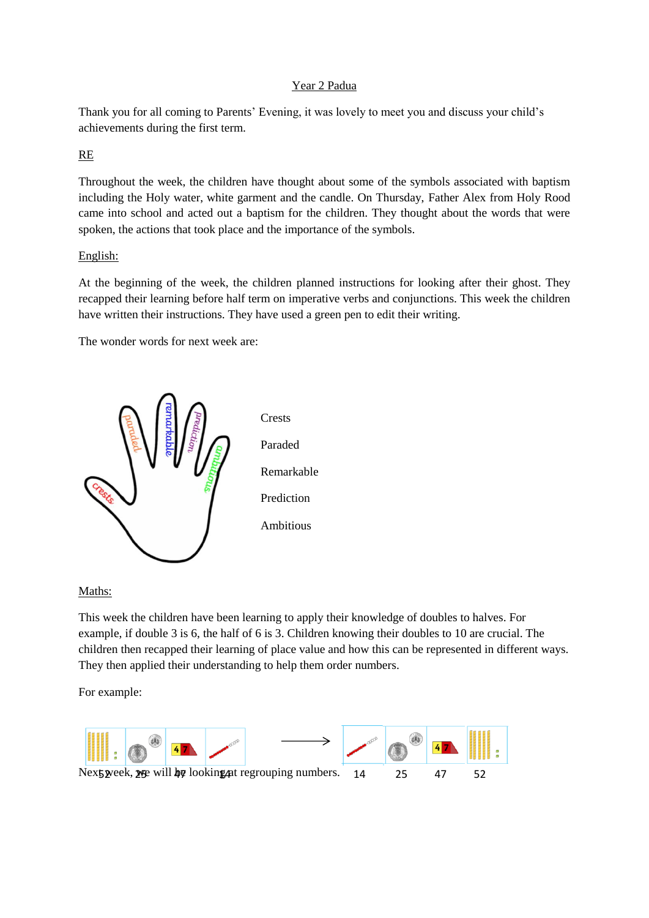## Year 2 Padua

Thank you for all coming to Parents' Evening, it was lovely to meet you and discuss your child's achievements during the first term.

## RE

Throughout the week, the children have thought about some of the symbols associated with baptism including the Holy water, white garment and the candle. On Thursday, Father Alex from Holy Rood came into school and acted out a baptism for the children. They thought about the words that were spoken, the actions that took place and the importance of the symbols.

## English:

At the beginning of the week, the children planned instructions for looking after their ghost. They recapped their learning before half term on imperative verbs and conjunctions. This week the children have written their instructions. They have used a green pen to edit their writing.

The wonder words for next week are:



Maths:

This week the children have been learning to apply their knowledge of doubles to halves. For example, if double 3 is 6, the half of 6 is 3. Children knowing their doubles to 10 are crucial. The children then recapped their learning of place value and how this can be represented in different ways. They then applied their understanding to help them order numbers.

For example:

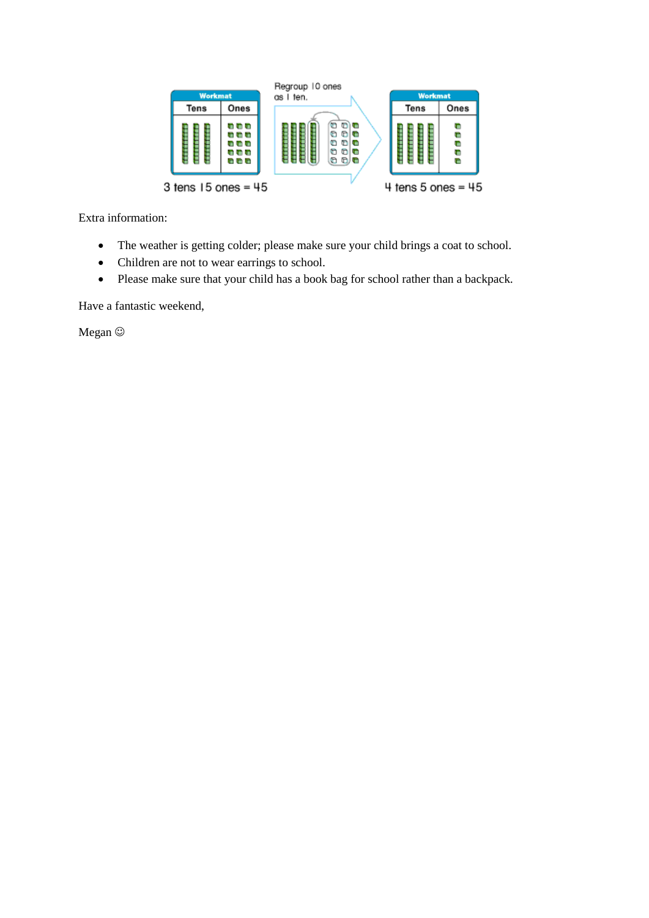

Extra information:

- The weather is getting colder; please make sure your child brings a coat to school.
- Children are not to wear earrings to school.
- Please make sure that your child has a book bag for school rather than a backpack.

Have a fantastic weekend,

Megan  $\odot$